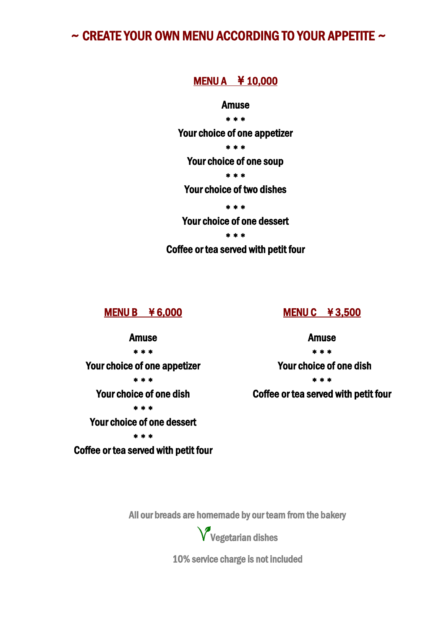# $\sim$  CREATE YOUR OWN MENU ACCORDING TO YOUR APPETITE  $\sim$

### MENU A ¥ 10,000

#### Amuse

\* \* \*

Your choice of one appetizer

\* \* \*

Your choice of one soup

\* \* \*

Your choice of two dishes

\* \* \*

Your choice of one dessert

\* \* \*

Coffee or tea served with petit four

MENU B ¥ 6,000

#### MENU C ¥ 3,500

Amuse \* \* \* Your choice of one appetizer \* \* \* Your choice of one dish \* \* \* Your choice of one dessert \* \* \* Coffee or tea served with petit four Amuse

\* \* \*

Your choice of one dish

\* \* \*

Coffee or tea served with petit four

All our breads are homemade by our team from the bakery Ĩ

Vegetarian dishes

10% service charge is not included